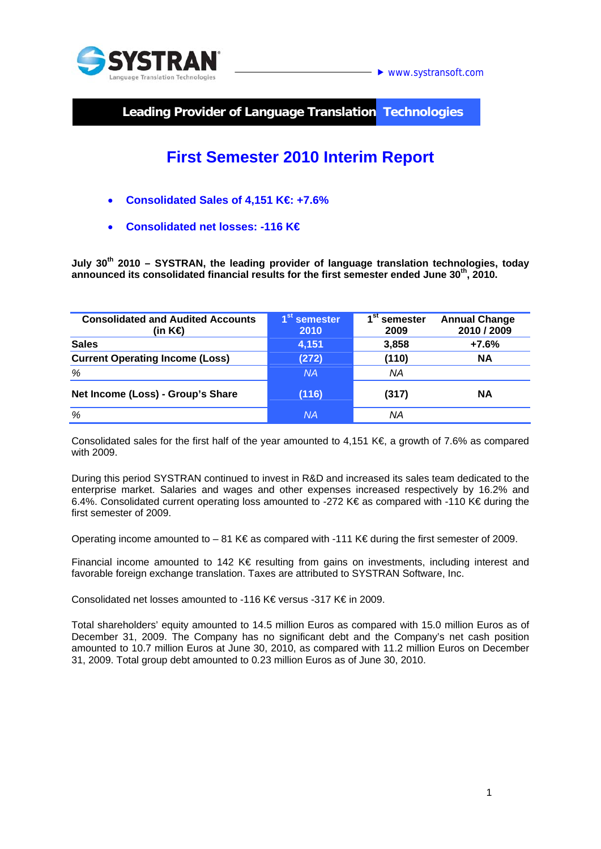

 $\blacktriangleright$  www.systransoft.com

**Leading Provider of Language Translation Technologies** 

# **First Semester 2010 Interim Report**

- **Consolidated Sales of 4,151 K€: +7.6%**
- **Consolidated net losses: -116 K€**

July 30<sup>th</sup> 2010 - SYSTRAN, the leading provider of language translation technologies, today **announced its consolidated financial results for the first semester ended June 30th, 2010.** 

| <b>Consolidated and Audited Accounts</b><br>(in K⊖ | 1 <sup>st</sup> semester<br>2010 | Sτ<br>semester<br>2009 | <b>Annual Change</b><br>2010 / 2009 |
|----------------------------------------------------|----------------------------------|------------------------|-------------------------------------|
| <b>Sales</b>                                       | 4,151                            | 3,858                  | $+7.6%$                             |
| <b>Current Operating Income (Loss)</b>             | (272)                            | (110)                  | <b>NA</b>                           |
| %                                                  | <b>NA</b>                        | NA                     |                                     |
| Net Income (Loss) - Group's Share                  | (116)                            | (317)                  | <b>NA</b>                           |
| %                                                  | <b>NA</b>                        | ΝA                     |                                     |

Consolidated sales for the first half of the year amounted to 4,151 K $\epsilon$ , a growth of 7.6% as compared with 2009.

During this period SYSTRAN continued to invest in R&D and increased its sales team dedicated to the enterprise market. Salaries and wages and other expenses increased respectively by 16.2% and 6.4%. Consolidated current operating loss amounted to -272 K€ as compared with -110 K€ during the first semester of 2009.

Operating income amounted to – 81 K€ as compared with -111 K€ during the first semester of 2009.

Financial income amounted to 142 K€ resulting from gains on investments, including interest and favorable foreign exchange translation. Taxes are attributed to SYSTRAN Software, Inc.

Consolidated net losses amounted to -116 K€ versus -317 K€ in 2009.

Total shareholders' equity amounted to 14.5 million Euros as compared with 15.0 million Euros as of December 31, 2009. The Company has no significant debt and the Company's net cash position amounted to 10.7 million Euros at June 30, 2010, as compared with 11.2 million Euros on December 31, 2009. Total group debt amounted to 0.23 million Euros as of June 30, 2010.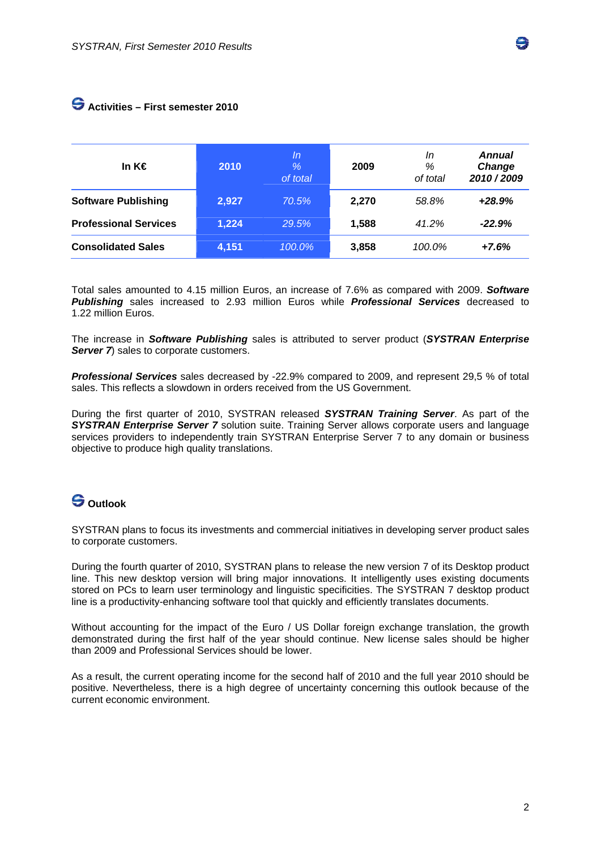### **Activities – First semester 2010**

| In K€                        | 2010  | ln<br>%<br>of total | 2009  | In<br>%<br>of total | <b>Annual</b><br>Change<br>2010/2009 |
|------------------------------|-------|---------------------|-------|---------------------|--------------------------------------|
| <b>Software Publishing</b>   | 2,927 | 70.5%               | 2.270 | 58.8%               | $+28.9%$                             |
| <b>Professional Services</b> | 1,224 | 29.5%               | 1,588 | 41.2%               | $-22.9%$                             |
| <b>Consolidated Sales</b>    | 4,151 | $100.0\%$           | 3,858 | 100.0%              | $+7.6%$                              |

Total sales amounted to 4.15 million Euros, an increase of 7.6% as compared with 2009. *Software Publishing* sales increased to 2.93 million Euros while *Professional Services* decreased to 1.22 million Euros.

The increase in *Software Publishing* sales is attributed to server product (*SYSTRAN Enterprise Server* 7 sales to corporate customers.

*Professional Services* sales decreased by -22.9% compared to 2009, and represent 29,5 % of total sales. This reflects a slowdown in orders received from the US Government.

During the first quarter of 2010, SYSTRAN released *SYSTRAN Training Server*. As part of the **SYSTRAN Enterprise Server 7** solution suite. Training Server allows corporate users and language services providers to independently train SYSTRAN Enterprise Server 7 to any domain or business objective to produce high quality translations.

## **Outlook**

SYSTRAN plans to focus its investments and commercial initiatives in developing server product sales to corporate customers.

During the fourth quarter of 2010, SYSTRAN plans to release the new version 7 of its Desktop product line. This new desktop version will bring major innovations. It intelligently uses existing documents stored on PCs to learn user terminology and linguistic specificities. The SYSTRAN 7 desktop product line is a productivity-enhancing software tool that quickly and efficiently translates documents.

Without accounting for the impact of the Euro / US Dollar foreign exchange translation, the growth demonstrated during the first half of the year should continue. New license sales should be higher than 2009 and Professional Services should be lower.

As a result, the current operating income for the second half of 2010 and the full year 2010 should be positive. Nevertheless, there is a high degree of uncertainty concerning this outlook because of the current economic environment.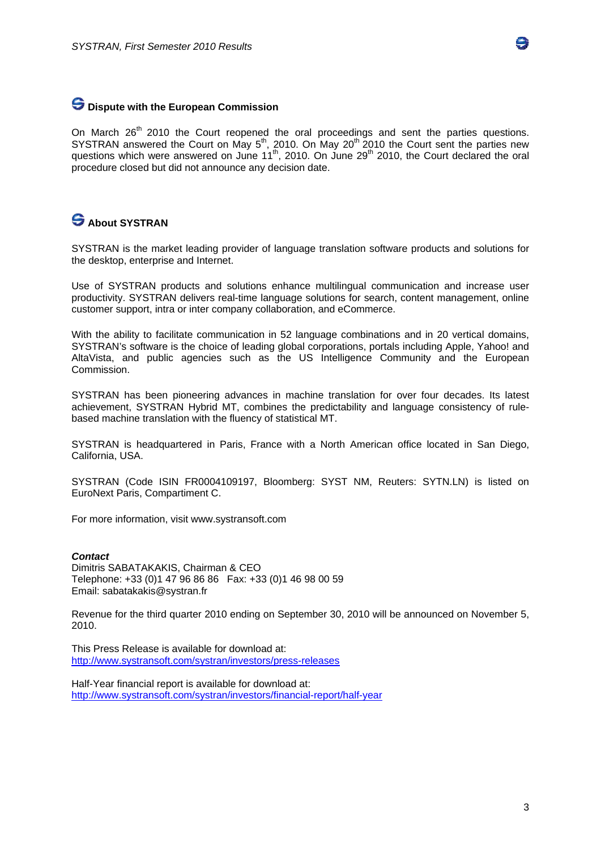

#### **Dispute with the European Commission**

On March 26<sup>th</sup> 2010 the Court reopened the oral proceedings and sent the parties questions. SYSTRAN answered the Court on May  $5<sup>th</sup>$ , 2010. On May 20<sup>th 2</sup>010 the Court sent the parties new questions which were answered on June  $11^{th}$ , 2010. On June 29<sup>th</sup> 2010, the Court declared the oral procedure closed but did not announce any decision date.

### **S** About SYSTRAN

SYSTRAN is the market leading provider of language translation software products and solutions for the desktop, enterprise and Internet.

Use of SYSTRAN products and solutions enhance multilingual communication and increase user productivity. SYSTRAN delivers real-time language solutions for search, content management, online customer support, intra or inter company collaboration, and eCommerce.

With the ability to facilitate communication in 52 language combinations and in 20 vertical domains, SYSTRAN's software is the choice of leading global corporations, portals including Apple, Yahoo! and AltaVista, and public agencies such as the US Intelligence Community and the European Commission.

SYSTRAN has been pioneering advances in machine translation for over four decades. Its latest achievement, SYSTRAN Hybrid MT, combines the predictability and language consistency of rulebased machine translation with the fluency of statistical MT.

SYSTRAN is headquartered in Paris, France with a North American office located in San Diego, California, USA.

SYSTRAN (Code ISIN FR0004109197, Bloomberg: SYST NM, Reuters: SYTN.LN) is listed on EuroNext Paris, Compartiment C.

For more information, visit www.systransoft.com

#### *Contact*

Dimitris SABATAKAKIS, Chairman & CEO Telephone: +33 (0)1 47 96 86 86 Fax: +33 (0)1 46 98 00 59 Email: sabatakakis@systran.fr

Revenue for the third quarter 2010 ending on September 30, 2010 will be announced on November 5, 2010.

This Press Release is available for download at: http://www.systransoft.com/systran/investors/press-releases

Half-Year financial report is available for download at: http://www.systransoft.com/systran/investors/financial-report/half-year